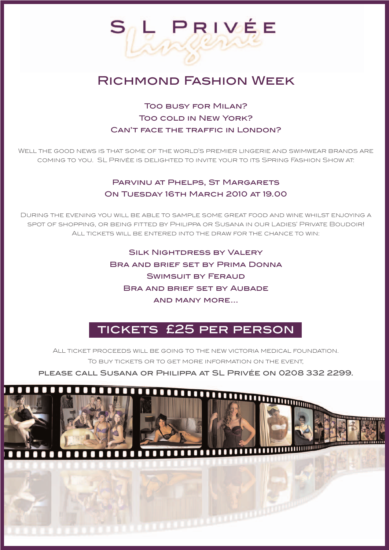# Richmond Fashion Week

L PRIVÉE

## Too busy for Milan? Too cold in New York? Can't face the traffic in London?

Well the good news is that some of the world's premier lingerie and swimwear brands are coming to you. SL Privée is delighted to invite your to its Spring Fashion Show at:

#### PARVINU AT PHELPS, ST MARGARETS ON TUESDAY 16TH MARCH 2010 AT 19.00

During the evening you will be able to sample some great food and wine whilst enjoying a spot of shopping, or being fitted by Philippa or Susana in our Ladies' Private Boudoir! All tickets will be entered into the draw for the chance to win:

> **SILK NIGHTDRESS BY VALERY** Bra and brief set by Prima Donna SWIMSUIT BY FERAUD Bra and brief set by Aubade and many more...

# tickets £25 per person

All ticket proceeds will be going to the new victoria medical foundation. To buy tickets or to get more information on the event,

please call Susana or Philippa at SL Privée on 0208 332 2299.





**THE MANUFACTURE**